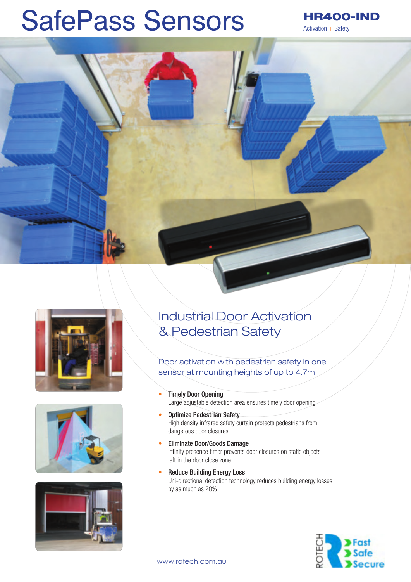# SafePass Sensors

HR400-IND Activation + Safety









## Industrial Door Activation & Pedestrian Safety

Door activation with pedestrian safety in one sensor at mounting heights of up to 4.7m

- Timely Door Opening Large adjustable detection area ensures timely door opening
- Optimize Pedestrian Safety High density infrared safety curtain protects pedestrians from dangerous door closures.
- Eliminate Door/Goods Damage Infinity presence timer prevents door closures on static objects left in the door close zone
- **Reduce Building Energy Loss** Uni-directional detection technology reduces building energy losses by as much as 20%